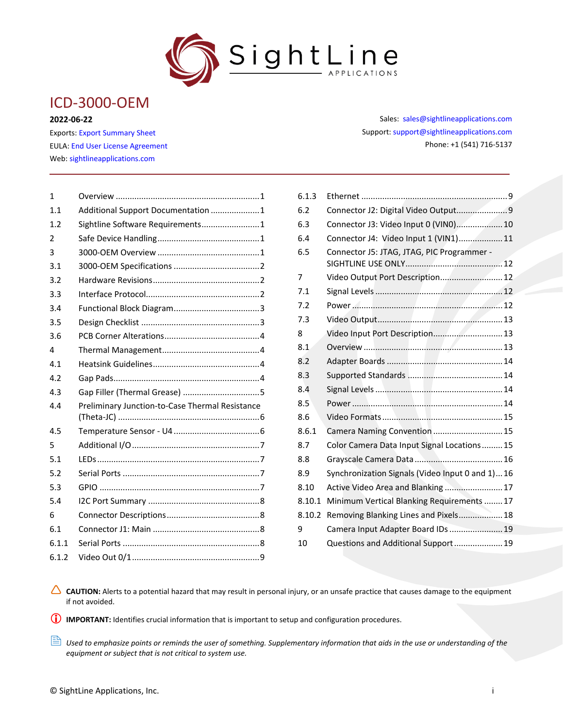

# ICD-3000-OEM

#### **2022-06-22**

Exports: [Export Summary Sheet](https://sightlineapplications.com/wp-content/uploads/Exports-Summary.pdf) EULA[: End User License Agreement](https://sightlineapplications.com/wp-content/uploads/SightLine-Product-License.pdf) Web[: sightlineapplications.com](https://sightlineapplications.com/)

| $\mathbf{1}$ |                                                 |
|--------------|-------------------------------------------------|
| 1.1          | Additional Support Documentation 1              |
| 1.2          | Sightline Software Requirements 1               |
| 2            |                                                 |
| 3            |                                                 |
| 3.1          |                                                 |
| 3.2          |                                                 |
| 3.3          |                                                 |
| 3.4          |                                                 |
| 3.5          |                                                 |
| 3.6          |                                                 |
| 4            |                                                 |
| 4.1          |                                                 |
| 4.2          |                                                 |
| 4.3          |                                                 |
| 4.4          | Preliminary Junction-to-Case Thermal Resistance |
| 4.5          |                                                 |
| 5            |                                                 |
| 5.1          |                                                 |
| 5.2          |                                                 |
| 5.3          |                                                 |
| 5.4          |                                                 |
| 6            |                                                 |
| 6.1          |                                                 |
| 6.1.1        |                                                 |
| 6.1.2        |                                                 |
|              |                                                 |

Sales: [sales@sightlineapplications.com](mailto:sales@sightlineapplications.com) Support[: support@sightlineapplications.com](mailto:support@sightlineapplications.com) Phone: +1 (541) 716-5137

| 6.1.3  |                                                 |
|--------|-------------------------------------------------|
| 6.2    | Connector J2: Digital Video Output9             |
| 6.3    | Connector J3: Video Input 0 (VINO) 10           |
| 6.4    | Connector J4: Video Input 1 (VIN1) 11           |
| 6.5    | Connector J5: JTAG, JTAG, PIC Programmer -      |
| 7      | Video Output Port Description 12                |
| 7.1    |                                                 |
| 7.2    |                                                 |
| 7.3    |                                                 |
| 8      | Video Input Port Description 13                 |
| 8.1    |                                                 |
| 8.2    |                                                 |
| 8.3    |                                                 |
| 8.4    |                                                 |
| 8.5    |                                                 |
| 8.6    |                                                 |
| 8.6.1  | Camera Naming Convention  15                    |
| 8.7    | Color Camera Data Input Signal Locations 15     |
| 8.8    |                                                 |
| 8.9    | Synchronization Signals (Video Input 0 and 1)16 |
| 8.10   | Active Video Area and Blanking  17              |
| 8.10.1 | Minimum Vertical Blanking Requirements  17      |
| 8.10.2 | Removing Blanking Lines and Pixels 18           |
| 9      | Camera Input Adapter Board IDs  19              |
| 10     | Questions and Additional Support 19             |

CAUTION: Alerts to a potential hazard that may result in personal injury, or an unsafe practice that causes damage to the equipment if not avoided.

**IMPORTANT:** Identifies crucial information that is important to setup and configuration procedures.

 *Used to emphasize points or reminds the user of something. Supplementary information that aids in the use or understanding of the equipment or subject that is not critical to system use.*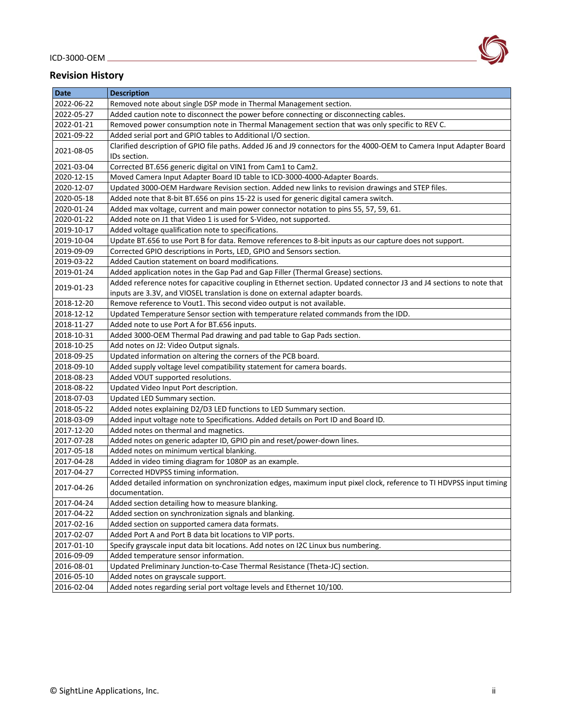#### ICD-3000-OEM



#### **Revision History**

| <b>Date</b> | <b>Description</b>                                                                                                                    |
|-------------|---------------------------------------------------------------------------------------------------------------------------------------|
| 2022-06-22  | Removed note about single DSP mode in Thermal Management section.                                                                     |
| 2022-05-27  | Added caution note to disconnect the power before connecting or disconnecting cables.                                                 |
| 2022-01-21  | Removed power consumption note in Thermal Management section that was only specific to REV C.                                         |
| 2021-09-22  | Added serial port and GPIO tables to Additional I/O section.                                                                          |
| 2021-08-05  | Clarified description of GPIO file paths. Added J6 and J9 connectors for the 4000-OEM to Camera Input Adapter Board<br>IDs section.   |
| 2021-03-04  | Corrected BT.656 generic digital on VIN1 from Cam1 to Cam2.                                                                           |
| 2020-12-15  | Moved Camera Input Adapter Board ID table to ICD-3000-4000-Adapter Boards.                                                            |
| 2020-12-07  | Updated 3000-OEM Hardware Revision section. Added new links to revision drawings and STEP files.                                      |
| 2020-05-18  | Added note that 8-bit BT.656 on pins 15-22 is used for generic digital camera switch.                                                 |
| 2020-01-24  | Added max voltage, current and main power connector notation to pins 55, 57, 59, 61.                                                  |
| 2020-01-22  | Added note on J1 that Video 1 is used for S-Video, not supported.                                                                     |
| 2019-10-17  | Added voltage qualification note to specifications.                                                                                   |
| 2019-10-04  | Update BT.656 to use Port B for data. Remove references to 8-bit inputs as our capture does not support.                              |
| 2019-09-09  | Corrected GPIO descriptions in Ports, LED, GPIO and Sensors section.                                                                  |
| 2019-03-22  | Added Caution statement on board modifications.                                                                                       |
| 2019-01-24  | Added application notes in the Gap Pad and Gap Filler (Thermal Grease) sections.                                                      |
|             | Added reference notes for capacitive coupling in Ethernet section. Updated connector J3 and J4 sections to note that                  |
| 2019-01-23  | inputs are 3.3V, and VIOSEL translation is done on external adapter boards.                                                           |
| 2018-12-20  | Remove reference to Vout1. This second video output is not available.                                                                 |
| 2018-12-12  | Updated Temperature Sensor section with temperature related commands from the IDD.                                                    |
| 2018-11-27  | Added note to use Port A for BT.656 inputs.                                                                                           |
| 2018-10-31  | Added 3000-OEM Thermal Pad drawing and pad table to Gap Pads section.                                                                 |
| 2018-10-25  | Add notes on J2: Video Output signals.                                                                                                |
| 2018-09-25  | Updated information on altering the corners of the PCB board.                                                                         |
| 2018-09-10  | Added supply voltage level compatibility statement for camera boards.                                                                 |
| 2018-08-23  | Added VOUT supported resolutions.                                                                                                     |
| 2018-08-22  | Updated Video Input Port description.                                                                                                 |
| 2018-07-03  | Updated LED Summary section.                                                                                                          |
| 2018-05-22  | Added notes explaining D2/D3 LED functions to LED Summary section.                                                                    |
| 2018-03-09  | Added input voltage note to Specifications. Added details on Port ID and Board ID.                                                    |
| 2017-12-20  | Added notes on thermal and magnetics.                                                                                                 |
| 2017-07-28  | Added notes on generic adapter ID, GPIO pin and reset/power-down lines.                                                               |
| 2017-05-18  | Added notes on minimum vertical blanking.                                                                                             |
| 2017-04-28  | Added in video timing diagram for 1080P as an example.                                                                                |
| 2017-04-27  | Corrected HDVPSS timing information.                                                                                                  |
| 2017-04-26  | Added detailed information on synchronization edges, maximum input pixel clock, reference to TI HDVPSS input timing<br>documentation. |
| 2017-04-24  | Added section detailing how to measure blanking.                                                                                      |
| 2017-04-22  | Added section on synchronization signals and blanking.                                                                                |
| 2017-02-16  | Added section on supported camera data formats.                                                                                       |
| 2017-02-07  | Added Port A and Port B data bit locations to VIP ports.                                                                              |
| 2017-01-10  | Specify grayscale input data bit locations. Add notes on I2C Linux bus numbering.                                                     |
| 2016-09-09  | Added temperature sensor information.                                                                                                 |
| 2016-08-01  | Updated Preliminary Junction-to-Case Thermal Resistance (Theta-JC) section.                                                           |
| 2016-05-10  | Added notes on grayscale support.                                                                                                     |
| 2016-02-04  | Added notes regarding serial port voltage levels and Ethernet 10/100.                                                                 |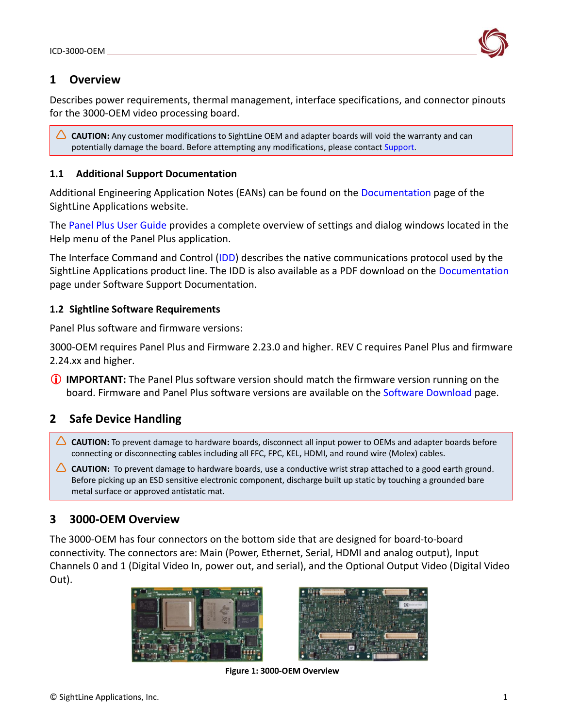

# <span id="page-2-0"></span>**1 Overview**

Describes power requirements, thermal management, interface specifications, and connector pinouts for the 3000-OEM video processing board.

△ CAUTION: Any customer modifications to SightLine OEM and adapter boards will void the warranty and can potentially damage the board. Before attempting any modifications, please contact [Support.](mailto:support@sightlineapplications.com)

### <span id="page-2-1"></span>**1.1 Additional Support Documentation**

Additional Engineering Application Notes (EANs) can be found on the [Documentation](https://sightlineapplications.com/documentation/) page of the SightLine Applications website.

The [Panel Plus User Guide](https://sightlineapplications.com/downloads/) provides a complete overview of settings and dialog windows located in the Help menu of the Panel Plus application.

The Interface Command and Control [\(IDD\)](https://sightlineapplications.com/releases/IDD/current/index.html) describes the native communications protocol used by the SightLine Applications product line. The IDD is also available as a PDF download on the [Documentation](https://sightlineapplications.com/documentation/) page under Software Support Documentation.

#### <span id="page-2-2"></span>**1.2 Sightline Software Requirements**

Panel Plus software and firmware versions:

3000-OEM requires Panel Plus and Firmware 2.23.0 and higher. REV C requires Panel Plus and firmware 2.24.xx and higher.

**IMPORTANT:** The Panel Plus software version should match the firmware version running on the board. Firmware and Panel Plus software versions are available on the [Software Download](https://sightlineapplications.com/downloads/) page.

# <span id="page-2-3"></span>**2 Safe Device Handling**

- △ CAUTION: To prevent damage to hardware boards, disconnect all input power to OEMs and adapter boards before connecting or disconnecting cables including all FFC, FPC, KEL, HDMI, and round wire (Molex) cables.
- △ CAUTION: To prevent damage to hardware boards, use a conductive wrist strap attached to a good earth ground. Before picking up an ESD sensitive electronic component, discharge built up static by touching a grounded bare metal surface or approved antistatic mat.

# <span id="page-2-4"></span>**3 3000-OEM Overview**

The 3000-OEM has four connectors on the bottom side that are designed for board-to-board connectivity. The connectors are: Main (Power, Ethernet, Serial, HDMI and analog output), Input Channels 0 and 1 (Digital Video In, power out, and serial), and the Optional Output Video (Digital Video Out).





**Figure 1: 3000-OEM Overview**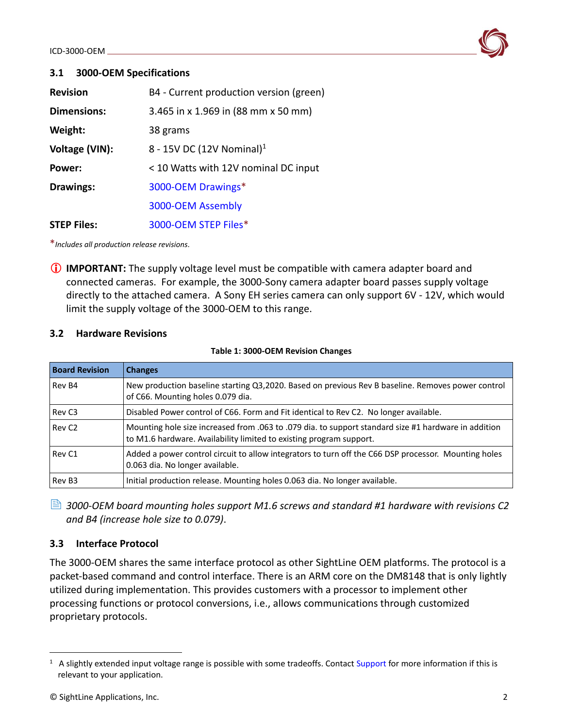

#### <span id="page-3-0"></span>**3.1 3000-OEM Specifications**

| <b>Revision</b>    | B4 - Current production version (green) |
|--------------------|-----------------------------------------|
| <b>Dimensions:</b> | 3.465 in x 1.969 in (88 mm x 50 mm)     |
| Weight:            | 38 grams                                |
| Voltage (VIN):     | 8 - 15V DC (12V Nominal) <sup>1</sup>   |
| Power:             | < 10 Watts with 12V nominal DC input    |
| <b>Drawings:</b>   | 3000-OEM Drawings*                      |
|                    | 3000-OEM Assembly                       |
| <b>STEP Files:</b> | 3000-OEM STEP Files*                    |

\**Includes all production release revisions*.

**IMPORTANT:** The supply voltage level must be compatible with camera adapter board and connected cameras. For example, the 3000-Sony camera adapter board passes supply voltage directly to the attached camera. A Sony EH series camera can only support 6V - 12V, which would limit the supply voltage of the 3000-OEM to this range.

#### <span id="page-3-1"></span>**3.2 Hardware Revisions**

| <b>Board Revision</b> | <b>Changes</b>                                                                                                                                                              |
|-----------------------|-----------------------------------------------------------------------------------------------------------------------------------------------------------------------------|
| Rev B4                | New production baseline starting Q3,2020. Based on previous Rev B baseline. Removes power control<br>of C66. Mounting holes 0.079 dia.                                      |
| Rev <sub>C3</sub>     | Disabled Power control of C66. Form and Fit identical to Rev C2. No longer available.                                                                                       |
| Rev <sub>C2</sub>     | Mounting hole size increased from .063 to .079 dia. to support standard size #1 hardware in addition<br>to M1.6 hardware. Availability limited to existing program support. |
| Rev <sub>C1</sub>     | Added a power control circuit to allow integrators to turn off the C66 DSP processor. Mounting holes<br>0.063 dia. No longer available.                                     |
| Rev B <sub>3</sub>    | Initial production release. Mounting holes 0.063 dia. No longer available.                                                                                                  |

**Table 1: 3000-OEM Revision Changes**

 *3000-OEM board mounting holes support M1.6 screws and standard #1 hardware with revisions C2 and B4 (increase hole size to 0.079)*.

### <span id="page-3-2"></span>**3.3 Interface Protocol**

The 3000-OEM shares the same interface protocol as other SightLine OEM platforms. The protocol is a packet-based command and control interface. There is an ARM core on the DM8148 that is only lightly utilized during implementation. This provides customers with a processor to implement other processing functions or protocol conversions, i.e., allows communications through customized proprietary protocols.

 $1$  A slightly extended input voltage range is possible with some tradeoffs. Contact [Support](mailto:support@sightlineapplications.com) for more information if this is relevant to your application.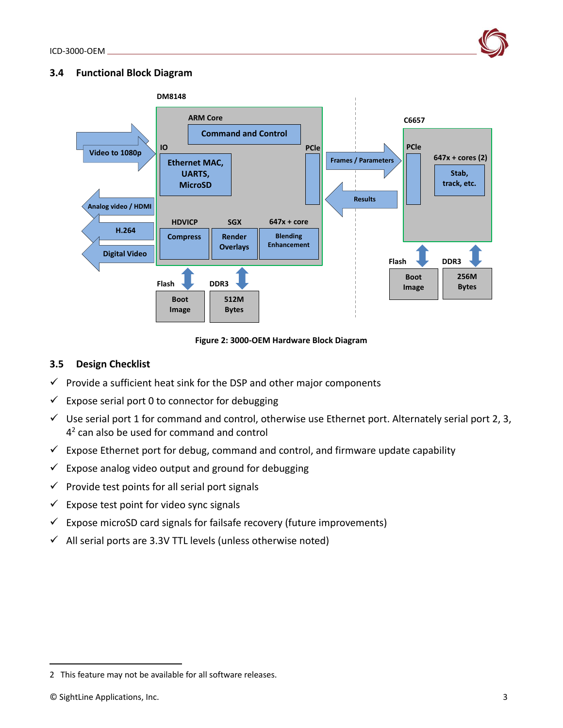

#### <span id="page-4-0"></span>**3.4 Functional Block Diagram**



**Figure 2: 3000-OEM Hardware Block Diagram**

# <span id="page-4-1"></span>**3.5 Design Checklist**

- $\checkmark$  Provide a sufficient heat sink for the DSP and other major components
- $\checkmark$  Expose serial port 0 to connector for debugging
- $\checkmark$  Use serial port 1 for command and control, otherwise use Ethernet port. Alternately serial port 2, 3,  $4<sup>2</sup>$  can also be used for command and control
- $\checkmark$  Expose Ethernet port for debug, command and control, and firmware update capability
- $\checkmark$  Expose analog video output and ground for debugging
- $\checkmark$  Provide test points for all serial port signals
- $\checkmark$  Expose test point for video sync signals
- $\checkmark$  Expose microSD card signals for failsafe recovery (future improvements)
- $\checkmark$  All serial ports are 3.3V TTL levels (unless otherwise noted)

<sup>2</sup> This feature may not be available for all software releases.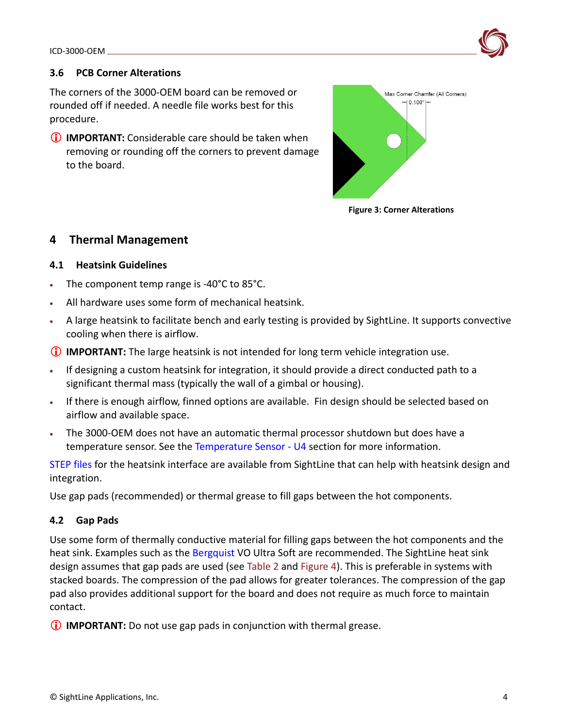# <span id="page-5-0"></span>**3.6 PCB Corner Alterations**

The corners of the 3000-OEM board can be removed or rounded off if needed. A needle file works best for this procedure.

**IMPORTANT:** Considerable care should be taken when removing or rounding off the corners to prevent damage to the board.



**Figure 3: Corner Alterations**

# <span id="page-5-1"></span>**4 Thermal Management**

# <span id="page-5-2"></span>**4.1 Heatsink Guidelines**

- The component temp range is -40°C to 85°C.
- All hardware uses some form of mechanical heatsink.
- A large heatsink to facilitate bench and early testing is provided by SightLine. It supports convective cooling when there is airflow.
- **IMPORTANT:** The large heatsink is not intended for long term vehicle integration use.
- If designing a custom heatsink for integration, it should provide a direct conducted path to a significant thermal mass (typically the wall of a gimbal or housing).
- If there is enough airflow, finned options are available. Fin design should be selected based on airflow and available space.
- The 3000-OEM does not have an automatic thermal processor shutdown but does have a temperature sensor. See the [Temperature Sensor -](#page-7-1) U4 section for more information.

[STEP files](http://sightlineapplications.com/models/SLA-3000-ENC_BasePlate_Model.zip) for the heatsink interface are available from SightLine that can help with heatsink design and integration.

Use gap pads (recommended) or thermal grease to fill gaps between the hot components.

# <span id="page-5-3"></span>**4.2 Gap Pads**

Use some form of thermally conductive material for filling gaps between the hot components and the heat sink. Examples such as the [Bergquist](https://www.henkel-adhesives.com/us/en/products/thermal-management-materials.html) VO Ultra Soft are recommended. The SightLine heat sink design assumes that gap pads are used (see Table 2 and Figure 4). This is preferable in systems with stacked boards. The compression of the pad allows for greater tolerances. The compression of the gap pad also provides additional support for the board and does not require as much force to maintain contact.

*IMPORTANT:* Do not use gap pads in conjunction with thermal grease.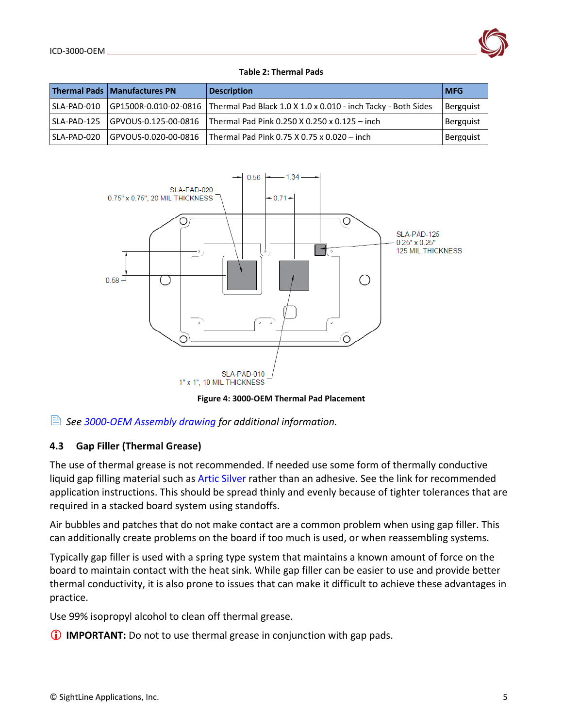

#### **Table 2: Thermal Pads**

|             | Thermal Pads   Manufactures PN | <b>Description</b>                                                                  | <b>IMFG</b>      |
|-------------|--------------------------------|-------------------------------------------------------------------------------------|------------------|
| SLA-PAD-010 |                                | GP1500R-0.010-02-0816 Thermal Pad Black 1.0 X 1.0 x 0.010 - inch Tacky - Both Sides | <b>Bergguist</b> |
| SLA-PAD-125 | GPVOUS-0.125-00-0816           | Thermal Pad Pink 0.250 X 0.250 x 0.125 - inch                                       | <b>Bergquist</b> |
| SLA-PAD-020 | GPVOUS-0.020-00-0816           | Thermal Pad Pink 0.75 X 0.75 x 0.020 - inch                                         | <b>Bergquist</b> |



**Figure 4: 3000-OEM Thermal Pad Placement**

### *See [3000-OEM Assembly drawing](http://sightlineapplications.com/drawings/SLA-3000-OEM_Assembly.pdf) for additional information.*

### <span id="page-6-0"></span>**4.3 Gap Filler (Thermal Grease)**

The use of thermal grease is not recommended. If needed use some form of thermally conductive liquid gap filling material such as [Artic Silver](http://www.arcticsilver.com/) rather than an adhesive. See the link for recommended application instructions. This should be spread thinly and evenly because of tighter tolerances that are required in a stacked board system using standoffs.

Air bubbles and patches that do not make contact are a common problem when using gap filler. This can additionally create problems on the board if too much is used, or when reassembling systems.

Typically gap filler is used with a spring type system that maintains a known amount of force on the board to maintain contact with the heat sink. While gap filler can be easier to use and provide better thermal conductivity, it is also prone to issues that can make it difficult to achieve these advantages in practice.

Use 99% isopropyl alcohol to clean off thermal grease.

**IMPORTANT:** Do not to use thermal grease in conjunction with gap pads.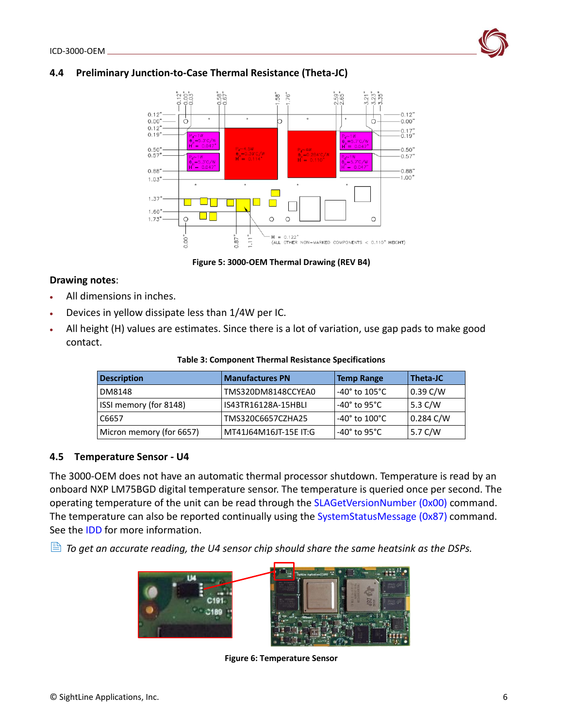## <span id="page-7-0"></span>**4.4 Preliminary Junction-to-Case Thermal Resistance (Theta-JC)**



**Figure 5: 3000-OEM Thermal Drawing (REV B4)**

#### **Drawing notes**:

- All dimensions in inches.
- Devices in yellow dissipate less than 1/4W per IC.
- All height (H) values are estimates. Since there is a lot of variation, use gap pads to make good contact.

| Table 3: Component Thermal Resistance Specifications |  |  |  |
|------------------------------------------------------|--|--|--|
|------------------------------------------------------|--|--|--|

| <b>Description</b>       | <b>Manufactures PN</b> | <b>Temp Range</b>                  | Theta-JC   |
|--------------------------|------------------------|------------------------------------|------------|
| DM8148                   | TMS320DM8148CCYEA0     | -40 $^{\circ}$ to 105 $^{\circ}$ C | $0.39$ C/W |
| ISSI memory (for 8148)   | IS43TR16128A-15HBLI    | -40 $^{\circ}$ to 95 $^{\circ}$ C  | 5.3 $C/W$  |
| C6657                    | TMS320C6657CZHA25      | -40 $^{\circ}$ to 100 $^{\circ}$ C | 0.284 C/W  |
| Micron memory (for 6657) | MT41J64M16JT-15E IT:G  | -40 $^{\circ}$ to 95 $^{\circ}$ C  | 5.7 C/W    |

#### <span id="page-7-1"></span>**4.5 Temperature Sensor - U4**

The 3000-OEM does not have an automatic thermal processor shutdown. Temperature is read by an onboard NXP LM75BGD digital temperature sensor. The temperature is queried once per second. The operating temperature of the unit can be read through the [SLAGetVersionNumber \(0x00\)](https://sightlineapplications.com/releases/IDD/current/struct_s_l_a_get_version_number__t.html) command. The temperature can also be reported continually using the [SystemStatusMessage \(0x87\)](https://sightlineapplications.com/releases/IDD/current/struct_s_l_a_system_status_message__t.html) command. See the [IDD](https://sightlineapplications.com/releases/IDD/current/) for more information.

 $\triangleq$  *To get an accurate reading, the U4 sensor chip should share the same heatsink as the DSPs.* 



**Figure 6: Temperature Sensor**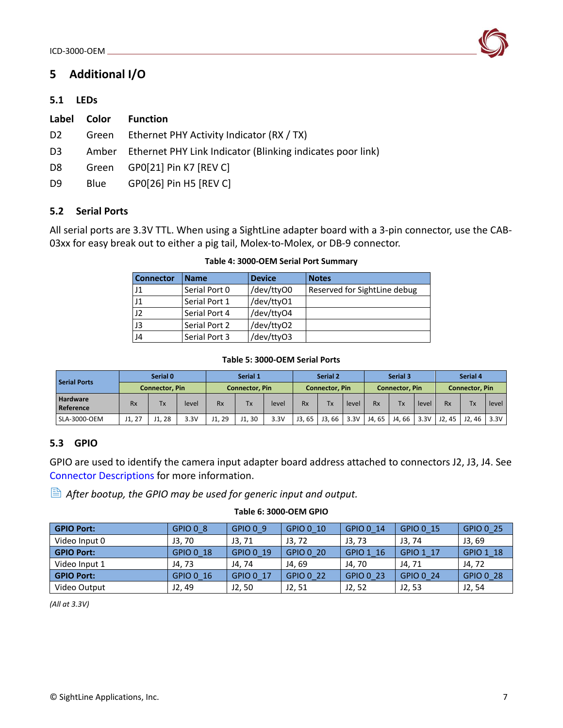

# <span id="page-8-0"></span>**5 Additional I/O**

### <span id="page-8-1"></span>**5.1 LEDs**

| Label          | Color | <b>Function</b>                                                  |
|----------------|-------|------------------------------------------------------------------|
| D <sub>2</sub> |       | Green Ethernet PHY Activity Indicator (RX / TX)                  |
| D <sub>3</sub> |       | Amber Ethernet PHY Link Indicator (Blinking indicates poor link) |
| D8             |       | Green GP0[21] Pin K7 [REV C]                                     |
| D9             | Blue  | GP0[26] Pin H5 [REV C]                                           |

### <span id="page-8-2"></span>**5.2 Serial Ports**

All serial ports are 3.3V TTL. When using a SightLine adapter board with a 3-pin connector, use the CAB-03xx for easy break out to either a pig tail, Molex-to-Molex, or DB-9 connector.

| <b>Connector</b> | <b>Name</b>   | <b>Device</b> | <b>Notes</b>                 |
|------------------|---------------|---------------|------------------------------|
| $_{\rm J1}$      | Serial Port 0 | /dev/ttyO0    | Reserved for SightLine debug |
| $_{\rm J1}$      | Serial Port 1 | /dev/ttyO1    |                              |
| 12               | Serial Port 4 | /dev/ttyO4    |                              |
| J3               | Serial Port 2 | /dev/ttyO2    |                              |
| J4               | Serial Port 3 | /dev/ttyO3    |                              |

#### **Table 4: 3000-OEM Serial Port Summary**

#### **Table 5: 3000-OEM Serial Ports**

|                       | Serial 0              |       | Serial 1              |           | Serial 2              |       | Serial 3              |             | Serial 4              |       |       |       |           |       |       |
|-----------------------|-----------------------|-------|-----------------------|-----------|-----------------------|-------|-----------------------|-------------|-----------------------|-------|-------|-------|-----------|-------|-------|
| <b>Serial Ports</b>   | <b>Connector, Pin</b> |       | <b>Connector, Pin</b> |           | <b>Connector, Pin</b> |       | <b>Connector, Pin</b> |             | <b>Connector, Pin</b> |       |       |       |           |       |       |
| Hardware<br>Reference | <b>Rx</b>             | Tx    | level                 | <b>Rx</b> | Tх                    | level | <b>Rx</b>             | Tx          | level                 | Rx    | Tx    | level | <b>Rx</b> | Tx.   | level |
| SLA-3000-OEM          | J1, 27                | J1.28 | 3.3V                  | J1.29     | J1.30                 | 3.3V  | J3.65                 | . 66<br>J3. | 3.3V                  | J4.65 | J4.66 | 3.3V  | J2.45     | J2.46 | 3.3V  |

### <span id="page-8-3"></span>**5.3 GPIO**

GPIO are used to identify the camera input adapter board address attached to connectors J2, J3, J4. See [Connector Descriptions](#page-9-1) for more information.

*After bootup, the GPIO may be used for generic input and output.*

| <b>GPIO Port:</b> | GPIO 0 8  | GPIO 0 9  | GPIO 0 10 | GPIO 0 14 | GPIO 0 15 | GPIO 0 25 |
|-------------------|-----------|-----------|-----------|-----------|-----------|-----------|
| Video Input 0     | J3.70     | J3, 71    | J3.72     | J3, 73    | J3, 74    | J3.69     |
| <b>GPIO Port:</b> | GPIO 0 18 | GPIO 0 19 | GPIO 0 20 | GPIO 1 16 | GPIO 1 17 | GPIO 1 18 |
| Video Input 1     | J4, 73    | J4, 74    | J4.69     | J4, 70    | J4, 71    | J4, 72    |
| <b>GPIO Port:</b> | GPIO 0 16 | GPIO 0 17 | GPIO 0 22 | GPIO 0 23 | GPIO 0 24 | GPIO 0 28 |
| Video Output      | J2, 49    | J2, 50    | J2, 51    | J2, 52    | J2, 53    | J2, 54    |

#### **Table 6: 3000-OEM GPIO**

*(All at 3.3V)*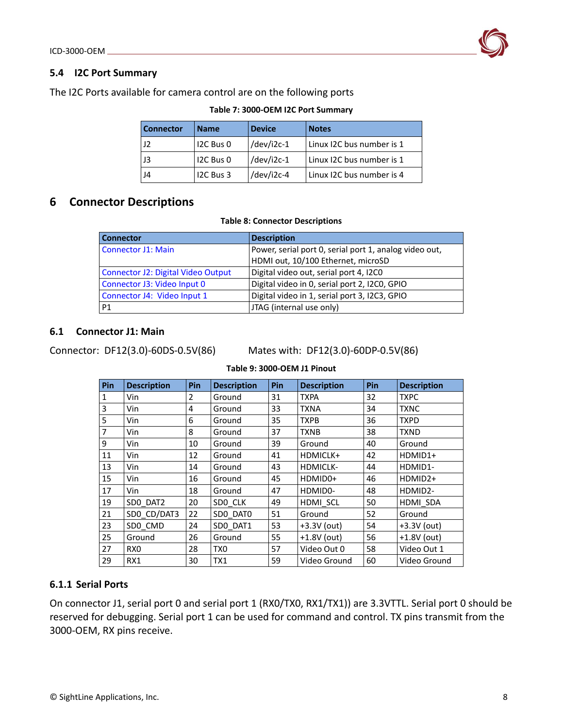#### <span id="page-9-0"></span>**5.4 I2C Port Summary**

The I2C Ports available for camera control are on the following ports

| <b>Connector</b> | <b>Name</b> | <b>Device</b> | <b>Notes</b>              |
|------------------|-------------|---------------|---------------------------|
| 12               | I2C Bus 0   | /dev/i2c-1    | Linux I2C bus number is 1 |
| JЗ               | I2C Bus 0   | /dev/i2c-1    | Linux I2C bus number is 1 |
| J4               | I2C Bus 3   | /dev/i2c-4    | Linux I2C bus number is 4 |

#### **Table 7: 3000-OEM I2C Port Summary**

# <span id="page-9-1"></span>**6 Connector Descriptions**

#### **Table 8: Connector Descriptions**

| <b>Connector</b>                          | <b>Description</b>                                     |
|-------------------------------------------|--------------------------------------------------------|
| <b>Connector J1: Main</b>                 | Power, serial port 0, serial port 1, analog video out, |
|                                           | HDMI out, 10/100 Ethernet, microSD                     |
| <b>Connector J2: Digital Video Output</b> | Digital video out, serial port 4, I2C0                 |
| Connector J3: Video Input 0               | Digital video in 0, serial port 2, I2C0, GPIO          |
| Connector J4: Video Input 1               | Digital video in 1, serial port 3, I2C3, GPIO          |
| P <sub>1</sub>                            | JTAG (internal use only)                               |

#### <span id="page-9-2"></span>**6.1 Connector J1: Main**

Connector: DF12(3.0)-60DS-0.5V(86) Mates with: DF12(3.0)-60DP-0.5V(86)

| Pin            | <b>Description</b> | Pin            | <b>Description</b> | Pin | <b>Description</b> | Pin | <b>Description</b> |
|----------------|--------------------|----------------|--------------------|-----|--------------------|-----|--------------------|
| 1              | Vin                | $\overline{2}$ | Ground             | 31  | <b>TXPA</b>        | 32  | <b>TXPC</b>        |
| $\overline{3}$ | Vin                | 4              | Ground             | 33  | <b>TXNA</b>        | 34  | <b>TXNC</b>        |
| 5              | Vin                | 6              | Ground             | 35  | <b>TXPB</b>        | 36  | <b>TXPD</b>        |
| $\overline{7}$ | Vin                | 8              | Ground             | 37  | <b>TXNB</b>        | 38  | <b>TXND</b>        |
| 9              | Vin                | 10             | Ground             | 39  | Ground             | 40  | Ground             |
| 11             | Vin                | 12             | Ground             | 41  | HDMICLK+           | 42  | HDMID1+            |
| 13             | Vin                | 14             | Ground             | 43  | <b>HDMICLK-</b>    | 44  | HDMID1-            |
| 15             | Vin                | 16             | Ground             | 45  | HDMID0+            | 46  | HDMID2+            |
| 17             | Vin                | 18             | Ground             | 47  | HDMID0-            | 48  | HDMID2-            |
| 19             | SDO DAT2           | 20             | SDO CLK            | 49  | HDMI SCL           | 50  | HDMI SDA           |
| 21             | SDO CD/DAT3        | 22             | SDO DATO           | 51  | Ground             | 52  | Ground             |
| 23             | SDO_CMD            | 24             | SDO DAT1           | 53  | $+3.3V$ (out)      | 54  | $+3.3V$ (out)      |
| 25             | Ground             | 26             | Ground             | 55  | $+1.8V$ (out)      | 56  | $+1.8V$ (out)      |
| 27             | RX <sub>0</sub>    | 28             | TX <sub>0</sub>    | 57  | Video Out 0        | 58  | Video Out 1        |
| 29             | RX1                | 30             | TX1                | 59  | Video Ground       | 60  | Video Ground       |

### **Table 9: 3000-OEM J1 Pinout**

#### <span id="page-9-3"></span>**6.1.1 Serial Ports**

On connector J1, serial port 0 and serial port 1 (RX0/TX0, RX1/TX1)) are 3.3VTTL. Serial port 0 should be reserved for debugging. Serial port 1 can be used for command and control. TX pins transmit from the 3000-OEM, RX pins receive.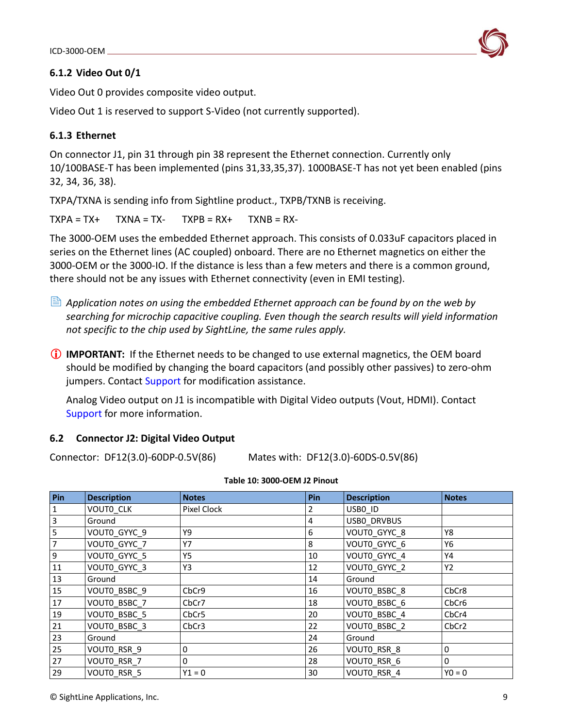## <span id="page-10-0"></span>**6.1.2 Video Out 0/1**

Video Out 0 provides composite video output.

Video Out 1 is reserved to support S-Video (not currently supported).

## <span id="page-10-1"></span>**6.1.3 Ethernet**

On connector J1, pin 31 through pin 38 represent the Ethernet connection. Currently only 10/100BASE-T has been implemented (pins 31,33,35,37). 1000BASE-T has not yet been enabled (pins 32, 34, 36, 38).

TXPA/TXNA is sending info from Sightline product., TXPB/TXNB is receiving.

 $TXPA = TX+$  TXNA = TX- TXPB = RX+ TXNB = RX-

The 3000-OEM uses the embedded Ethernet approach. This consists of 0.033uF capacitors placed in series on the Ethernet lines (AC coupled) onboard. There are no Ethernet magnetics on either the 3000-OEM or the 3000-IO. If the distance is less than a few meters and there is a common ground, there should not be any issues with Ethernet connectivity (even in EMI testing).

- *Application notes on using the embedded Ethernet approach can be found by on the web by searching for microchip capacitive coupling. Even though the search results will yield information not specific to the chip used by SightLine, the same rules apply.*
- **IMPORTANT:** If the Ethernet needs to be changed to use external magnetics, the OEM board should be modified by changing the board capacitors (and possibly other passives) to zero-ohm jumpers. Contact [Support](mailto:support@sightlineapplications.com) for modification assistance.

Analog Video output on J1 is incompatible with Digital Video outputs (Vout, HDMI). Contact [Support](mailto:support@sightlineapplications.com) for more information.

### <span id="page-10-2"></span>**6.2 Connector J2: Digital Video Output**

Connector: DF12(3.0)-60DP-0.5V(86) Mates with: DF12(3.0)-60DS-0.5V(86)

| Pin                     | <b>Description</b> | <b>Notes</b>      | <b>Pin</b> | <b>Description</b> | <b>Notes</b>      |
|-------------------------|--------------------|-------------------|------------|--------------------|-------------------|
| $\overline{1}$          | VOUTO CLK          | Pixel Clock       | 2          | USBO ID            |                   |
| $\overline{3}$          | Ground             |                   | 4          | USBO DRVBUS        |                   |
| $\overline{\mathbf{5}}$ | VOUT0_GYYC_9       | Υ9                | 6          | VOUT0_GYYC_8       | Y8                |
| $\overline{7}$          | VOUTO GYYC 7       | <b>Y7</b>         | 8          | VOUTO GYYC 6       | Y6                |
| $\overline{9}$          | VOUTO GYYC 5       | Y5                | 10         | VOUTO GYYC 4       | Y4                |
| 11                      | VOUTO GYYC 3       | Y3                | 12         | VOUTO GYYC 2       | Y2                |
| 13                      | Ground             |                   | 14         | Ground             |                   |
| 15                      | VOUTO BSBC 9       | CbCr9             | 16         | VOUTO BSBC 8       | CbCr8             |
| 17                      | VOUTO BSBC 7       | CbCr7             | 18         | VOUTO BSBC 6       | CbCr6             |
| 19                      | VOUTO BSBC 5       | CbCr <sub>5</sub> | 20         | VOUTO BSBC 4       | CbCr4             |
| $\overline{21}$         | VOUTO BSBC 3       | CbCr3             | 22         | VOUTO BSBC 2       | CbCr <sub>2</sub> |
| 23                      | Ground             |                   | 24         | Ground             |                   |
| 25                      | VOUTO_RSR 9        | 0                 | 26         | VOUTO RSR 8        | 0                 |
| 27                      | VOUTO RSR 7        | $\mathbf{0}$      | 28         | VOUTO RSR 6        | $\mathbf{0}$      |
| 29                      | VOUTO RSR 5        | $Y1 = 0$          | 30         | VOUTO RSR 4        | $Y0 = 0$          |

## **Table 10: 3000-OEM J2 Pinout**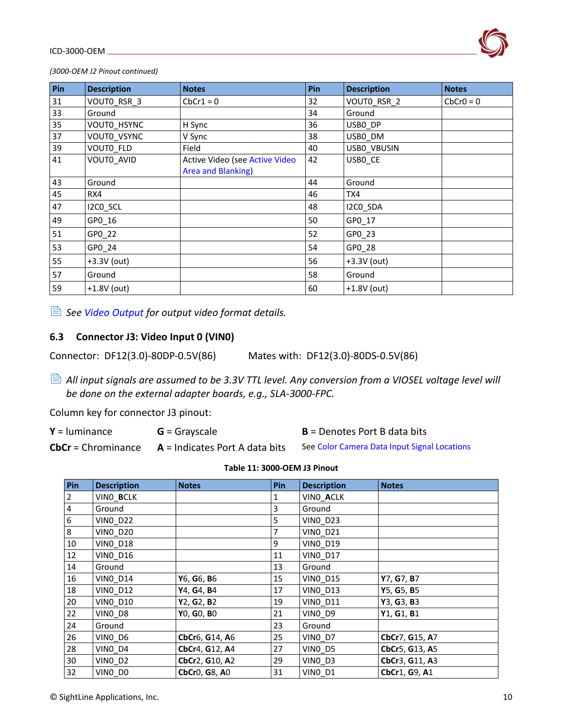

*(3000-OEM J2 Pinout continued)*

| Pin    | <b>Description</b> | <b>Notes</b>                                         | Pin | <b>Description</b> | <b>Notes</b> |
|--------|--------------------|------------------------------------------------------|-----|--------------------|--------------|
| 31     | VOUTO RSR 3        | $CbCr1 = 0$                                          | 32  | VOUTO RSR 2        | $CbCr0 = 0$  |
| 33     | Ground             |                                                      | 34  | Ground             |              |
| $35\,$ | VOUTO HSYNC        | H Sync                                               | 36  | USBO DP            |              |
| 37     | VOUTO VSYNC        | V Sync                                               | 38  | USB0_DM            |              |
| 39     | VOUTO_FLD          | Field                                                | 40  | USB0 VBUSIN        |              |
| 41     | VOUTO AVID         | Active Video (see Active Video<br>Area and Blanking) | 42  | USBO CE            |              |
| 43     | Ground             |                                                      | 44  | Ground             |              |
| 45     | RX4                |                                                      | 46  | TX4                |              |
| 47     | I2CO_SCL           |                                                      | 48  | I2CO_SDA           |              |
| 49     | GP0_16             |                                                      | 50  | GP0 17             |              |
| 51     | GP0_22             |                                                      | 52  | GP0_23             |              |
| 53     | GP0_24             |                                                      | 54  | GP0_28             |              |
| 55     | +3.3V (out)        |                                                      | 56  | +3.3V (out)        |              |
| 57     | Ground             |                                                      | 58  | Ground             |              |
| 59     | $+1.8V$ (out)      |                                                      | 60  | $+1.8V$ (out)      |              |

*See [Video Output](#page-13-1) for output video format details.*

#### <span id="page-11-0"></span>**6.3 Connector J3: Video Input 0 (VIN0)**

Connector: DF12(3.0)-80DP-0.5V(86) Mates with: DF12(3.0)-80DS-0.5V(86)

 *All input signals are assumed to be 3.3V TTL level. Any conversion from a VIOSEL voltage level will be done on the external adapter boards, e.g., SLA-3000-FPC.*

Column key for connector J3 pinout:

**Y** = luminance **G** = Grayscale

**CbCr** = Chrominance **A** = Indicates Port A data bits

**B** = Denotes Port B data bits

Se[e Color Camera Data Input Signal Locations](#page-16-2)

| Pin            | <b>Description</b> | <b>Notes</b>                                        | Pin            | <b>Description</b> | <b>Notes</b>   |
|----------------|--------------------|-----------------------------------------------------|----------------|--------------------|----------------|
| $\overline{2}$ | VINO_BCLK          |                                                     | 1              | VINO_ACLK          |                |
| 4              | Ground             |                                                     | 3              | Ground             |                |
| 6              | <b>VINO D22</b>    |                                                     | 5              | <b>VINO D23</b>    |                |
| 8              | <b>VINO D20</b>    |                                                     | $\overline{7}$ | <b>VINO D21</b>    |                |
| 10             | <b>VINO_D18</b>    |                                                     | 9              | <b>VINO D19</b>    |                |
| 12             | <b>VINO D16</b>    |                                                     | 11             | <b>VINO D17</b>    |                |
| 14             | Ground             |                                                     | 13             | Ground             |                |
| 16             | <b>VINO_D14</b>    | Y6, G6, B6                                          | 15             | <b>VINO_D15</b>    | Y7, G7, B7     |
| 18             | <b>VINO D12</b>    | Y4, G4, B4                                          | 17             | <b>VINO D13</b>    | Y5, G5, B5     |
| 20             | <b>VINO_D10</b>    | Y2, G2, B2                                          | 19             | <b>VINO D11</b>    | Y3, G3, B3     |
| 22             | VINO D8            | Y0, G0, B0                                          | 21             | VINO D9            | Y1, G1, B1     |
| 24             | Ground             |                                                     | 23             | Ground             |                |
| 26             | VINO D6            | CbCr6, G14, A6                                      | 25             | VINO_D7            | CbCr7, G15, A7 |
| 28             | VINO_D4            | CbCr4, G12, A4                                      | 27             | VINO_D5            | CbCr5, G13, A5 |
| 30             | VINO_D2            | CbCr2, G10, A2                                      | 29             | VINO_D3            | CbCr3, G11, A3 |
| 32             | VINO DO            | CbCr <sub>0</sub> , G <sub>8</sub> , A <sub>0</sub> | 31             | VINO D1            | CbCr1, G9, A1  |

**Table 11: 3000-OEM J3 Pinout**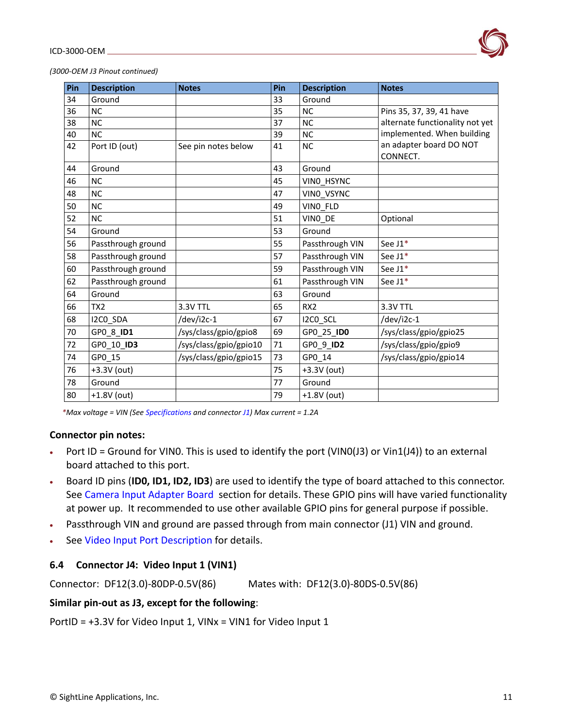

*(3000-OEM J3 Pinout continued)*

| Pin | <b>Description</b> | <b>Notes</b>           | Pin | <b>Description</b> | <b>Notes</b>                        |
|-----|--------------------|------------------------|-----|--------------------|-------------------------------------|
| 34  | Ground             |                        | 33  | Ground             |                                     |
| 36  | <b>NC</b>          |                        | 35  | <b>NC</b>          | Pins 35, 37, 39, 41 have            |
| 38  | <b>NC</b>          |                        | 37  | <b>NC</b>          | alternate functionality not yet     |
| 40  | <b>NC</b>          |                        | 39  | <b>NC</b>          | implemented. When building          |
| 42  | Port ID (out)      | See pin notes below    | 41  | <b>NC</b>          | an adapter board DO NOT<br>CONNECT. |
| 44  | Ground             |                        | 43  | Ground             |                                     |
| 46  | <b>NC</b>          |                        | 45  | VINO_HSYNC         |                                     |
| 48  | <b>NC</b>          |                        | 47  | VINO VSYNC         |                                     |
| 50  | <b>NC</b>          |                        | 49  | VINO FLD           |                                     |
| 52  | <b>NC</b>          |                        | 51  | VINO DE            | Optional                            |
| 54  | Ground             |                        | 53  | Ground             |                                     |
| 56  | Passthrough ground |                        | 55  | Passthrough VIN    | See J1*                             |
| 58  | Passthrough ground |                        | 57  | Passthrough VIN    | See J1*                             |
| 60  | Passthrough ground |                        | 59  | Passthrough VIN    | See J1*                             |
| 62  | Passthrough ground |                        | 61  | Passthrough VIN    | See $J1*$                           |
| 64  | Ground             |                        | 63  | Ground             |                                     |
| 66  | TX <sub>2</sub>    | 3.3V TTL               | 65  | RX <sub>2</sub>    | 3.3V TTL                            |
| 68  | I2CO_SDA           | /dev/i2c-1             | 67  | I2CO_SCL           | /dev/i2c-1                          |
| 70  | GP0_8_ID1          | /sys/class/gpio/gpio8  | 69  | GP0_25_ID0         | /sys/class/gpio/gpio25              |
| 72  | GP0_10_ID3         | /sys/class/gpio/gpio10 | 71  | GP0 9 ID2          | /sys/class/gpio/gpio9               |
| 74  | GP0 15             | /sys/class/gpio/gpio15 | 73  | GP0 14             | /sys/class/gpio/gpio14              |
| 76  | +3.3V (out)        |                        | 75  | +3.3V (out)        |                                     |
| 78  | Ground             |                        | 77  | Ground             |                                     |
| 80  | +1.8V (out)        |                        | 79  | +1.8V (out)        |                                     |

*\*Max voltage = VIN (Se[e Specifications](#page-3-0) and connecto[r J1\)](#page-9-2) Max current = 1.2A*

#### **Connector pin notes:**

- Port ID = Ground for VINO. This is used to identify the port (VINO(J3) or Vin1(J4)) to an external board attached to this port.
- Board ID pins (**ID0, ID1, ID2, ID3**) are used to identify the type of board attached to this connector. See [Camera Input Adapter Board](#page-20-0) section for details. These GPIO pins will have varied functionality at power up. It recommended to use other available GPIO pins for general purpose if possible.
- Passthrough VIN and ground are passed through from main connector (J1) VIN and ground.
- See [Video Input Port Description](#page-14-3) for details.

### <span id="page-12-0"></span>**6.4 Connector J4: Video Input 1 (VIN1)**

Connector: DF12(3.0)-80DP-0.5V(86) Mates with: DF12(3.0)-80DS-0.5V(86)

### **Similar pin-out as J3, except for the following**:

PortID = +3.3V for Video Input 1, VINx = VIN1 for Video Input 1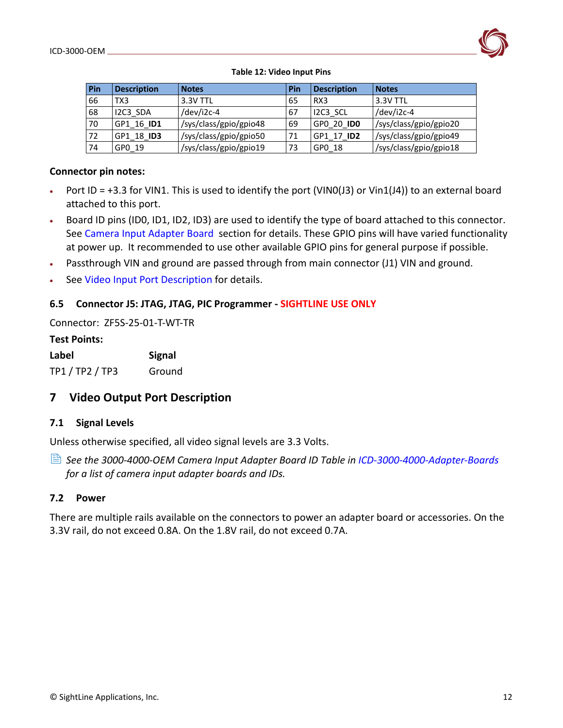

#### **Table 12: Video Input Pins**

| Pin | <b>Description</b> | <b>Notes</b>           | Pin | <b>Description</b> | <b>Notes</b>           |
|-----|--------------------|------------------------|-----|--------------------|------------------------|
| 66  | TX3                | 3.3V TTL               | 65  | RX <sub>3</sub>    | 3.3V TTL               |
| 68  | I2C3 SDA           | /dev/i2c-4             | 67  | I2C3 SCL           | /dev/i2c-4             |
| 70  | GP1 16 ID1         | /sys/class/gpio/gpio48 | 69  | GPO 20 IDO         | /sys/class/gpio/gpio20 |
| 72  | GP1 18 ID3         | /sys/class/gpio/gpio50 | 71  | GP1 17 ID2         | /sys/class/gpio/gpio49 |
| 74  | GP0 19             | /sys/class/gpio/gpio19 | 73  | GP0 18             | /sys/class/gpio/gpio18 |

#### **Connector pin notes:**

- Port ID =  $+3.3$  for VIN1. This is used to identify the port (VINO(J3) or Vin1(J4)) to an external board attached to this port.
- Board ID pins (ID0, ID1, ID2, ID3) are used to identify the type of board attached to this connector. See [Camera Input Adapter Board](#page-20-0) section for details. These GPIO pins will have varied functionality at power up. It recommended to use other available GPIO pins for general purpose if possible.
- Passthrough VIN and ground are passed through from main connector (J1) VIN and ground.
- See [Video Input Port Description](#page-14-3) for details.

### <span id="page-13-0"></span>**6.5 Connector J5: JTAG, JTAG, PIC Programmer - SIGHTLINE USE ONLY**

Connector: ZF5S-25-01-T-WT-TR

## **Test Points:**

| Label           | <b>Signal</b> |
|-----------------|---------------|
| TP1 / TP2 / TP3 | Ground        |

# <span id="page-13-1"></span>**7 Video Output Port Description**

### <span id="page-13-2"></span>**7.1 Signal Levels**

Unless otherwise specified, all video signal levels are 3.3 Volts.

 *See the 3000-4000-OEM Camera Input Adapter Board ID Table in [ICD-3000-4000-Adapter-Boards](https://sightlineapplications.com/wp-content/uploads/ICD-3000-4000-Adapter-Boards.pdf) for a list of camera input adapter boards and IDs.* 

### <span id="page-13-3"></span>**7.2 Power**

There are multiple rails available on the connectors to power an adapter board or accessories. On the 3.3V rail, do not exceed 0.8A. On the 1.8V rail, do not exceed 0.7A.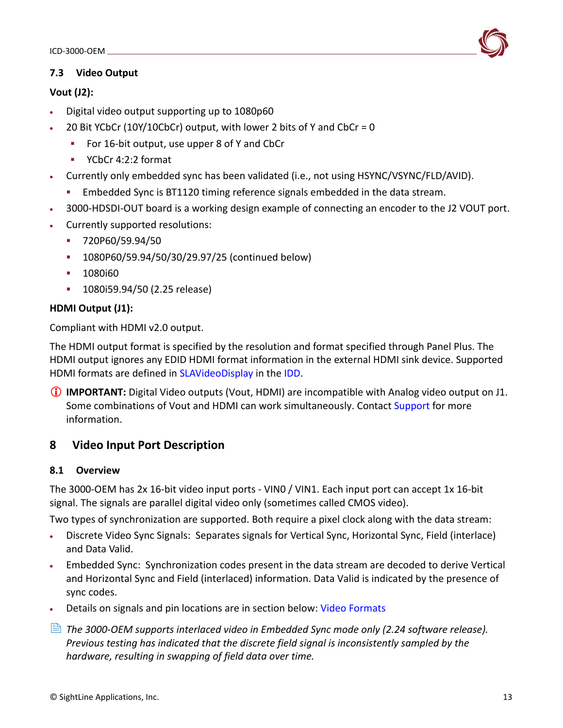## <span id="page-14-0"></span>**7.3 Video Output**

## **Vout (J2):**

- Digital video output supporting up to 1080p60
- 20 Bit YCbCr (10Y/10CbCr) output, with lower 2 bits of Y and CbCr = 0
	- For 16-bit output, use upper 8 of Y and CbCr
	- YCbCr 4:2:2 format
- Currently only embedded sync has been validated (i.e., not using HSYNC/VSYNC/FLD/AVID).
	- **Embedded Sync is BT1120 timing reference signals embedded in the data stream.**
- 3000-HDSDI-OUT board is a working design example of connecting an encoder to the J2 VOUT port.
- Currently supported resolutions:
	- 720P60/59.94/50
	- 1080P60/59.94/50/30/29.97/25 (continued below)
	- 1080i60
	- 1080i59.94/50 (2.25 release)

# **HDMI Output (J1):**

Compliant with HDMI v2.0 output.

The HDMI output format is specified by the resolution and format specified through Panel Plus. The HDMI output ignores any EDID HDMI format information in the external HDMI sink device. Supported HDMI formats are defined in [SLAVideoDisplay](https://sightlineapplications.com/releases/IDD/current/struct_s_l_a_video_display__t.html) in the [IDD](https://sightlineapplications.com/releases/IDD/current/).

 **IMPORTANT:** Digital Video outputs (Vout, HDMI) are incompatible with Analog video output on J1. Some combinations of Vout and HDMI can work simultaneously. Contac[t Support](mailto:support@sightlineapplications.com) for more information.

# <span id="page-14-3"></span><span id="page-14-1"></span>**8 Video Input Port Description**

# <span id="page-14-2"></span>**8.1 Overview**

The 3000-OEM has 2x 16-bit video input ports - VIN0 / VIN1. Each input port can accept 1x 16-bit signal. The signals are parallel digital video only (sometimes called CMOS video).

Two types of synchronization are supported. Both require a pixel clock along with the data stream:

- Discrete Video Sync Signals: Separates signals for Vertical Sync, Horizontal Sync, Field (interlace) and Data Valid.
- Embedded Sync: Synchronization codes present in the data stream are decoded to derive Vertical and Horizontal Sync and Field (interlaced) information. Data Valid is indicated by the presence of sync codes.
- Details on signals and pin locations are in section below: [Video Formats](#page-16-0)
- *The 3000-OEM supports interlaced video in Embedded Sync mode only (2.24 software release). Previous testing has indicated that the discrete field signal is inconsistently sampled by the hardware, resulting in swapping of field data over time.*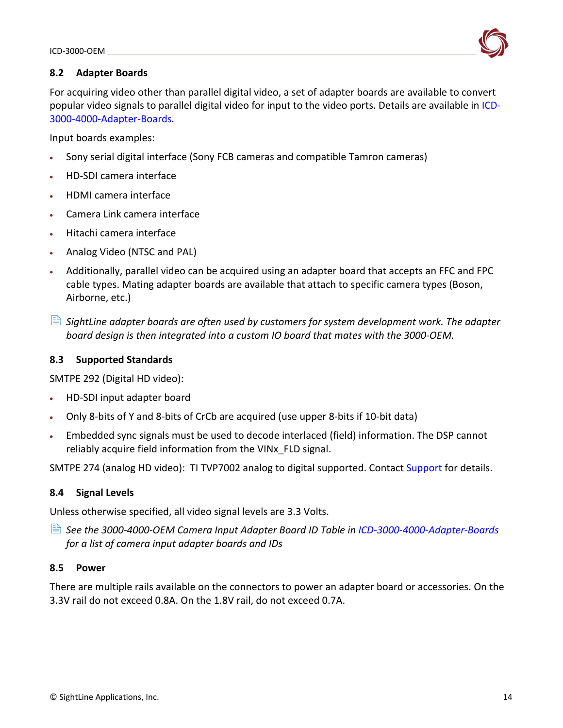

## <span id="page-15-0"></span>**8.2 Adapter Boards**

For acquiring video other than parallel digital video, a set of adapter boards are available to convert popular video signals to parallel digital video for input to the video ports. Details are available in [ICD-](http://sightlineapplications.com/wp-content/uploads/ICD-3000-4000-Adapter-Boards.pdf)[3000-4000-Adapter-Boards](http://sightlineapplications.com/wp-content/uploads/ICD-3000-4000-Adapter-Boards.pdf)*.* 

Input boards examples:

- Sony serial digital interface (Sony FCB cameras and compatible Tamron cameras)
- HD-SDI camera interface
- HDMI camera interface
- Camera Link camera interface
- Hitachi camera interface
- Analog Video (NTSC and PAL)
- Additionally, parallel video can be acquired using an adapter board that accepts an FFC and FPC cable types. Mating adapter boards are available that attach to specific camera types (Boson, Airborne, etc.)
- *SightLine adapter boards are often used by customers for system development work. The adapter board design is then integrated into a custom IO board that mates with the 3000-OEM.*

### <span id="page-15-1"></span>**8.3 Supported Standards**

SMTPE 292 (Digital HD video):

- HD-SDI input adapter board
- Only 8-bits of Y and 8-bits of CrCb are acquired (use upper 8-bits if 10-bit data)
- Embedded sync signals must be used to decode interlaced (field) information. The DSP cannot reliably acquire field information from the VINx\_FLD signal.

SMTPE 274 (analog HD video): TI TVP7002 analog to digital supported. Contact [Support](mailto:support@sightlineapplications.com) for details.

### <span id="page-15-2"></span>**8.4 Signal Levels**

Unless otherwise specified, all video signal levels are 3.3 Volts.

 *See the 3000-4000-OEM Camera Input Adapter Board ID Table in [ICD-3000-4000-Adapter-Boards](https://sightlineapplications.com/wp-content/uploads/ICD-3000-4000-Adapter-Boards.pdf) for a list of camera input adapter boards and IDs*

### <span id="page-15-3"></span>**8.5 Power**

There are multiple rails available on the connectors to power an adapter board or accessories. On the 3.3V rail do not exceed 0.8A. On the 1.8V rail, do not exceed 0.7A.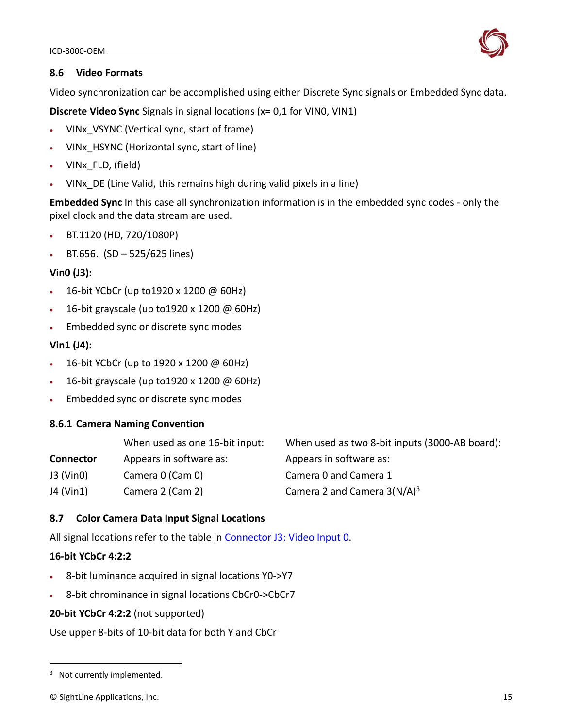

## <span id="page-16-0"></span>**8.6 Video Formats**

Video synchronization can be accomplished using either Discrete Sync signals or Embedded Sync data.

**Discrete Video Sync** Signals in signal locations (x= 0,1 for VIN0, VIN1)

- VINx\_VSYNC (Vertical sync, start of frame)
- VINx\_HSYNC (Horizontal sync, start of line)
- VINx\_FLD, (field)
- VIN<sub>x</sub> DE (Line Valid, this remains high during valid pixels in a line)

**Embedded Sync** In this case all synchronization information is in the embedded sync codes - only the pixel clock and the data stream are used.

- BT.1120 (HD, 720/1080P)
- BT.656.  $(SD 525/625$  lines)

# **Vin0 (J3):**

- 16-bit YCbCr (up to1920 x 1200 @ 60Hz)
- 16-bit grayscale (up to1920 x 1200 @ 60Hz)
- Embedded sync or discrete sync modes

# **Vin1 (J4):**

- 16-bit YCbCr (up to 1920 x 1200 @ 60Hz)
- 16-bit grayscale (up to1920 x 1200 @ 60Hz)
- Embedded sync or discrete sync modes

# <span id="page-16-1"></span>**8.6.1 Camera Naming Convention**

|                  | When used as one 16-bit input: | When used as two 8-bit inputs (3000-AB board): |
|------------------|--------------------------------|------------------------------------------------|
| <b>Connector</b> | Appears in software as:        | Appears in software as:                        |
| $J3$ (Vin0)      | Camera 0 (Cam 0)               | Camera 0 and Camera 1                          |
| J4 (Vin1)        | Camera 2 (Cam 2)               | Camera 2 and Camera $3(N/A)^3$                 |

# <span id="page-16-2"></span>**8.7 Color Camera Data Input Signal Locations**

All signal locations refer to the table in [Connector J3: Video Input 0](#page-11-0).

# **16-bit YCbCr 4:2:2**

- 8-bit luminance acquired in signal locations Y0->Y7
- 8-bit chrominance in signal locations CbCr0->CbCr7

# **20-bit YCbCr 4:2:2** (not supported)

Use upper 8-bits of 10-bit data for both Y and CbCr

<sup>&</sup>lt;sup>3</sup> Not currently implemented.

<sup>©</sup> SightLine Applications, Inc. 15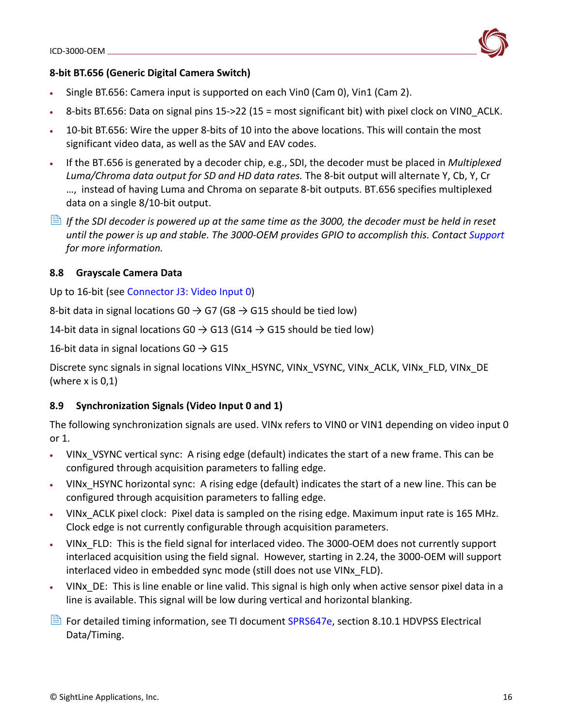

- Single BT.656: Camera input is supported on each Vin0 (Cam 0), Vin1 (Cam 2).
- 8-bits BT.656: Data on signal pins 15->22 (15 = most significant bit) with pixel clock on VIN0\_ACLK.
- 10-bit BT.656: Wire the upper 8-bits of 10 into the above locations. This will contain the most significant video data, as well as the SAV and EAV codes.
- If the BT.656 is generated by a decoder chip, e.g., SDI, the decoder must be placed in *Multiplexed Luma/Chroma data output for SD and HD data rates.* The 8-bit output will alternate Y, Cb, Y, Cr …, instead of having Luma and Chroma on separate 8-bit outputs. BT.656 specifies multiplexed data on a single 8/10-bit output.
- **If the SDI decoder is powered up at the same time as the 3000, the decoder must be held in reset** *until the power is up and stable. The 3000-OEM provides GPIO to accomplish this. Contact [Support](mailto:support@sightlineapplications.com) for more information.*

#### <span id="page-17-0"></span>**8.8 Grayscale Camera Data**

Up to 16-bit (see [Connector J3: Video Input 0](#page-11-0))

8-bit data in signal locations G0  $\rightarrow$  G7 (G8  $\rightarrow$  G15 should be tied low)

14-bit data in signal locations G0  $\rightarrow$  G13 (G14  $\rightarrow$  G15 should be tied low)

16-bit data in signal locations G0  $\rightarrow$  G15

Discrete sync signals in signal locations VINx\_HSYNC, VINx\_VSYNC, VINx\_ACLK, VINx\_FLD, VINx\_DE (where x is 0,1)

### <span id="page-17-1"></span>**8.9 Synchronization Signals (Video Input 0 and 1)**

The following synchronization signals are used. VINx refers to VIN0 or VIN1 depending on video input 0 or 1.

- VINx VSYNC vertical sync: A rising edge (default) indicates the start of a new frame. This can be configured through acquisition parameters to falling edge.
- VINx HSYNC horizontal sync: A rising edge (default) indicates the start of a new line. This can be configured through acquisition parameters to falling edge.
- VINx, ACLK pixel clock: Pixel data is sampled on the rising edge. Maximum input rate is 165 MHz. Clock edge is not currently configurable through acquisition parameters.
- VINx\_FLD: This is the field signal for interlaced video. The 3000-OEM does not currently support interlaced acquisition using the field signal. However, starting in 2.24, the 3000-OEM will support interlaced video in embedded sync mode (still does not use VINx\_FLD).
- VINx DE: This is line enable or line valid. This signal is high only when active sensor pixel data in a line is available. This signal will be low during vertical and horizontal blanking.
- $\Box$  For detailed timing information, see TI document [SPRS647e,](https://www.ti.com/lit/ds/sprs647e/sprs647e.pdf) section 8.10.1 HDVPSS Electrical Data/Timing.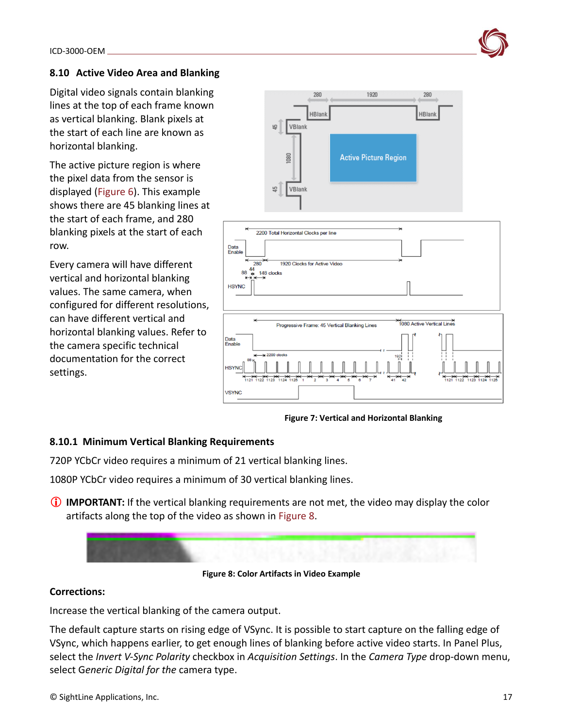# <span id="page-18-0"></span>**8.10 Active Video Area and Blanking**

Digital video signals contain blanking lines at the top of each frame known as vertical blanking. Blank pixels at the start of each line are known as horizontal blanking.

The active picture region is where the pixel data from the sensor is displayed (Figure 6). This example shows there are 45 blanking lines at the start of each frame, and 280 blanking pixels at the start of each row.

Every camera will have different vertical and horizontal blanking values. The same camera, when configured for different resolutions, can have different vertical and horizontal blanking values. Refer to the camera specific technical documentation for the correct settings.



**Figure 7: Vertical and Horizontal Blanking**

### <span id="page-18-1"></span>**8.10.1 Minimum Vertical Blanking Requirements**

720P YCbCr video requires a minimum of 21 vertical blanking lines.

1080P YCbCr video requires a minimum of 30 vertical blanking lines.

**IMPORTANT:** If the vertical blanking requirements are not met, the video may display the color artifacts along the top of the video as shown in Figure 8.



**Corrections:**

Increase the vertical blanking of the camera output.

The default capture starts on rising edge of VSync. It is possible to start capture on the falling edge of VSync, which happens earlier, to get enough lines of blanking before active video starts. In Panel Plus, select the *Invert V-Sync Polarity* checkbox in *Acquisition Settings*. In the *Camera Type* drop-down menu, select G*eneric Digital for the* camera type.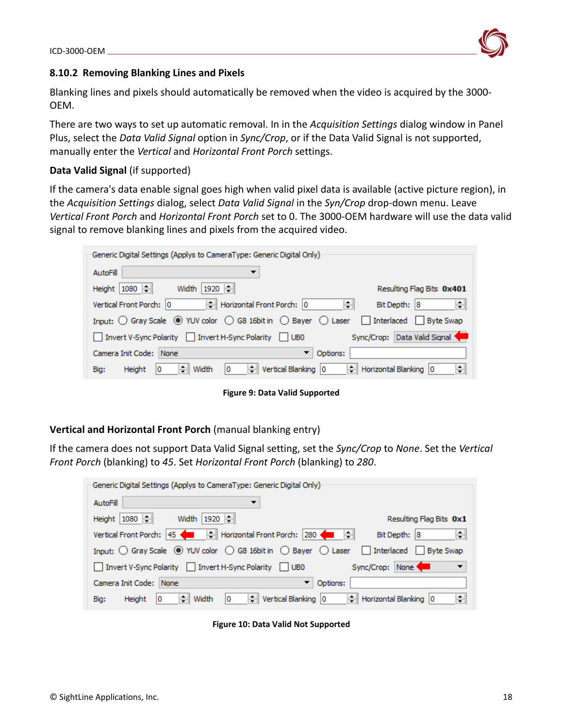

### <span id="page-19-0"></span>**8.10.2 Removing Blanking Lines and Pixels**

Blanking lines and pixels should automatically be removed when the video is acquired by the 3000- OEM.

There are two ways to set up automatic removal. In in the *Acquisition Settings* dialog window in Panel Plus, select the *Data Valid Signal* option in *Sync/Crop*, or if the Data Valid Signal is not supported, manually enter the *Vertical* and *Horizontal Front Porch* settings.

## **Data Valid Signal** (if supported)

If the camera's data enable signal goes high when valid pixel data is available (active picture region), in the *Acquisition Settings* dialog, select *Data Valid Signal* in the *Syn/Crop* drop-down menu. Leave *Vertical Front Porch* and *Horizontal Front Porch* set to 0. The 3000-OEM hardware will use the data valid signal to remove blanking lines and pixels from the acquired video.

| Generic Digital Settings (Applys to CameraType: Generic Digital Only)                                                                            |
|--------------------------------------------------------------------------------------------------------------------------------------------------|
| AutoFill<br>▼                                                                                                                                    |
| Width   1920   ÷<br>Height 1080<br>Resulting Flag Bits 0x401                                                                                     |
| → Horizontal Front Porch: 0<br>H<br>Vertical Front Porch: 0<br>÷<br>Bit Depth: 8                                                                 |
| Input: $\bigcirc$ Gray Scale $\circledast$ YUV color $\bigcirc$ G8 16bit in $\bigcirc$ Bayer $\bigcirc$ Laser $\Box$ Interlaced $\Box$ Byte Swap |
| Sync/Crop: Data Valid Signal<br>Invert V-Sync Polarity   Invert H-Sync Polarity   UB0                                                            |
| Camera Init Code: None<br>Options:<br>▼                                                                                                          |
| $\left \div\right $ Vertical Blanking $\left 0\right\rangle$<br>Horizontal Blanking 0<br>÷<br>$\div$ Width<br>Ю<br>Height<br>10<br>Big:          |

**Figure 9: Data Valid Supported**

### **Vertical and Horizontal Front Porch** (manual blanking entry)

If the camera does not support Data Valid Signal setting, set the *Sync/Crop* to *None*. Set the *Vertical Front Porch* (blanking) to *45*. Set *Horizontal Front Porch* (blanking) to *280*.

| Generic Digital Settings (Applys to CameraType: Generic Digital Only)                             |                            |
|---------------------------------------------------------------------------------------------------|----------------------------|
| AutoFill                                                                                          |                            |
| Height 1080<br>Width   1920 ÷                                                                     | Resulting Flag Bits 0x1    |
|                                                                                                   | ÷<br>Bit Depth: 8          |
| Input: ○ Gray Scale ● YUV color ○ G8 16bit in ○ Bayer ○ Laser □ Interlaced □ Byte Swap            |                            |
| Invert V-Sync Polarity   Invert H-Sync Polarity   UB0                                             | Sync/Crop: None<br>▼       |
| Camera Init Code: None<br>Options:<br>▼                                                           |                            |
| $\left \frac{1}{\epsilon}\right $ Vertical Blanking 0<br>÷L<br>Width<br>Height<br>10<br>Ю<br>Big: | ÷<br>Horizontal Blanking 0 |

**Figure 10: Data Valid Not Supported**